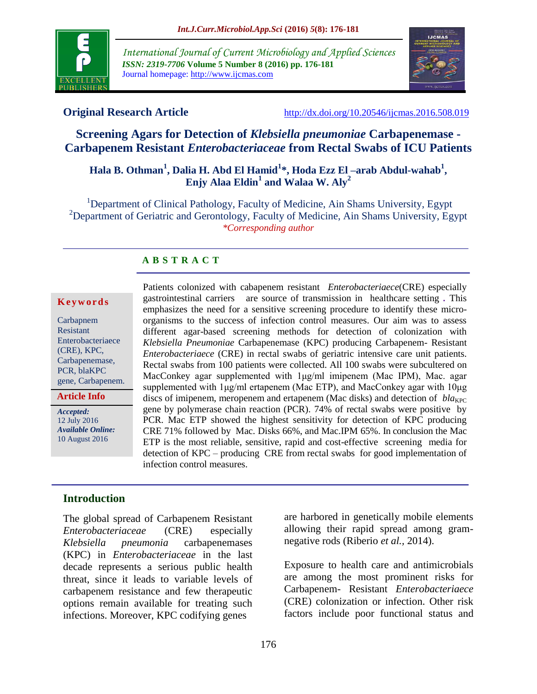

*International Journal of Current Microbiology and Applied Sciences ISSN: 2319-7706* **Volume 5 Number 8 (2016) pp. 176-181** Journal homepage: http://www.ijcmas.com



**Original Research Article** <http://dx.doi.org/10.20546/ijcmas.2016.508.019>

# **Screening Agars for Detection of** *Klebsiella pneumoniae* **Carbapenemase - Carbapenem Resistant** *Enterobacteriaceae* **from Rectal Swabs of ICU Patients**

# **Hala B. Othman<sup>1</sup> , Dalia H. Abd El Hamid<sup>1</sup> \*, Hoda Ezz El –arab Abdul-wahab<sup>1</sup> , Enjy Alaa Eldin<sup>1</sup> and Walaa W. Aly<sup>2</sup>**

<sup>1</sup>Department of Clinical Pathology, Faculty of Medicine, Ain Shams University, Egypt <sup>2</sup>Department of Geriatric and Gerontology, Faculty of Medicine, Ain Shams University, Egypt *\*Corresponding author*

## **A B S T R A C T**

#### **K e y w o r d s**

Carbapnem Resistant Enterobacteriaece (CRE), KPC, Carbapenemase, PCR, blaKPC gene, Carbapenem.

**Article Info**

*Accepted:*  12 July 2016 *Available Online:* 10 August 2016

Patients colonized with cabapenem resistant *Enterobacteriaece*(CRE) especially gastrointestinal carriers are source of transmission in healthcare setting *.* This emphasizes the need for a sensitive screening procedure to identify these microorganisms to the success of infection control measures. Our aim was to assess different agar-based screening methods for detection of colonization with *Klebsiella Pneumoniae* Carbapenemase (KPC) producing Carbapenem- Resistant *Enterobacteriaece* (CRE) in rectal swabs of geriatric intensive care unit patients. Rectal swabs from 100 patients were collected. All 100 swabs were subcultered on MacConkey agar supplemented with 1μg/ml imipenem (Mac IPM), Mac. agar supplemented with 1μg/ml ertapenem (Mac ETP), and MacConkey agar with 10μg discs of imipenem, meropenem and ertapenem (Mac disks) and detection of  $bla_{KPC}$ gene by polymerase chain reaction (PCR). 74% of rectal swabs were positive by PCR. Mac ETP showed the highest sensitivity for detection of KPC producing CRE 71% followed by Mac. Disks 66%, and Mac.IPM 65%. In conclusion the Mac ETP is the most reliable, sensitive, rapid and cost-effective screening media for detection of KPC – producing CRE from rectal swabs for good implementation of infection control measures.

## **Introduction**

The global spread of Carbapenem Resistant *Enterobacteriaceae* (CRE) especially *Klebsiella pneumonia* carbapenemases (KPC) in *Enterobacteriaceae* in the last decade represents a serious public health threat, since it leads to variable levels of carbapenem resistance and few therapeutic options remain available for treating such infections. Moreover, KPC codifying genes

are harbored in genetically mobile elements allowing their rapid spread among gramnegative rods (Riberio *et al.,* 2014).

Exposure to health care and antimicrobials are among the most prominent risks for Carbapenem- Resistant *Enterobacteriaece*  (CRE) colonization or infection. Other risk factors include poor functional status and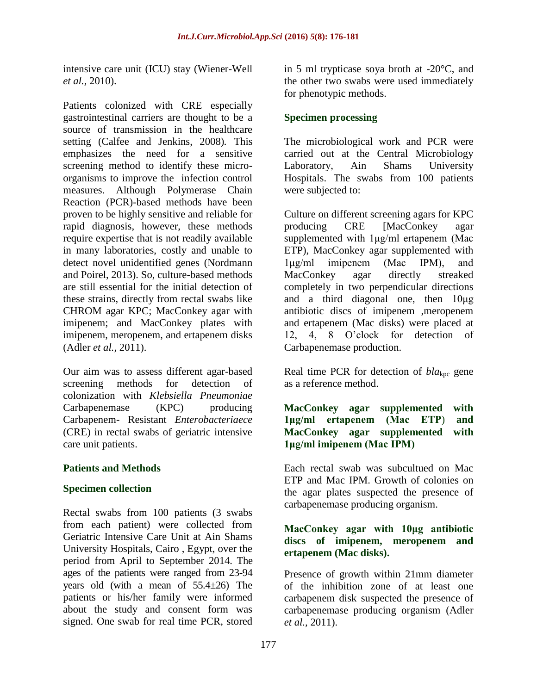intensive care unit (ICU) stay (Wiener-Well *et al.,* 2010).

Patients colonized with CRE especially gastrointestinal carriers are thought to be a source of transmission in the healthcare setting (Calfee and Jenkins, 2008)*.* This emphasizes the need for a sensitive screening method to identify these microorganisms to improve the infection control measures. Although Polymerase Chain Reaction (PCR)-based methods have been proven to be highly sensitive and reliable for rapid diagnosis, however, these methods require expertise that is not readily available in many laboratories, costly and unable to detect novel unidentified genes (Nordmann and Poirel, 2013). So, culture-based methods are still essential for the initial detection of these strains, directly from rectal swabs like CHROM agar KPC; MacConkey agar with imipenem; and MacConkey plates with imipenem, meropenem, and ertapenem disks (Adler *et al.,* 2011).

Our aim was to assess different agar-based screening methods for detection of colonization with *Klebsiella Pneumoniae*  Carbapenemase (KPC) producing Carbapenem- Resistant *Enterobacteriaece* (CRE) in rectal swabs of geriatric intensive care unit patients.

## **Patients and Methods**

## **Specimen collection**

Rectal swabs from 100 patients (3 swabs from each patient) were collected from Geriatric Intensive Care Unit at Ain Shams University Hospitals, Cairo , Egypt, over the period from April to September 2014. The ages of the patients were ranged from 23-94 years old (with a mean of 55.4±26) The patients or his/her family were informed about the study and consent form was signed. One swab for real time PCR, stored

in 5 ml trypticase soya broth at -20°C, and the other two swabs were used immediately for phenotypic methods.

## **Specimen processing**

The microbiological work and PCR were carried out at the Central Microbiology Laboratory, Ain Shams University Hospitals. The swabs from 100 patients were subjected to:

Culture on different screening agars for KPC producing CRE [MacConkey agar supplemented with 1μg/ml ertapenem (Mac ETP), MacConkey agar supplemented with 1μg/ml imipenem (Mac IPM), and MacConkey agar directly streaked completely in two perpendicular directions and a third diagonal one, then 10μg antibiotic discs of imipenem ,meropenem and ertapenem (Mac disks) were placed at 12, 4, 8 O'clock for detection of Carbapenemase production.

Real time PCR for detection of  $bla_{\text{kpc}}$  gene as a reference method.

#### **MacConkey agar supplemented with 1μg/ml ertapenem (Mac ETP**) **and MacConkey agar supplemented with 1μg/ml imipenem (Mac IPM)**

Each rectal swab was subcultued on Mac ETP and Mac IPM. Growth of colonies on the agar plates suspected the presence of carbapenemase producing organism.

## **MacConkey agar with 10μg antibiotic discs of imipenem, meropenem and ertapenem (Mac disks).**

Presence of growth within 21mm diameter of the inhibition zone of at least one carbapenem disk suspected the presence of carbapenemase producing organism (Adler *et al.,* 2011).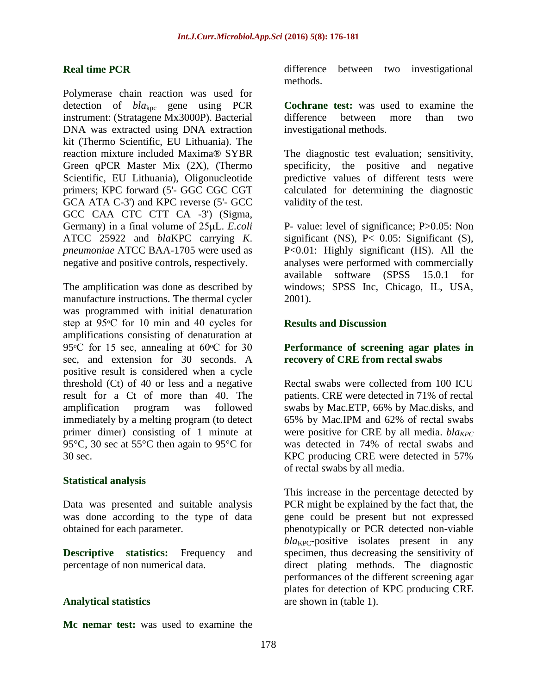#### **Real time PCR**

Polymerase chain reaction was used for detection of *bla*kpc gene using PCR instrument: (Stratagene Mx3000P). Bacterial DNA was extracted using DNA extraction kit (Thermo Scientific, EU Lithuania). The reaction mixture included Maxima® SYBR Green qPCR Master Mix (2X), (Thermo Scientific, EU Lithuania), Oligonucleotide primers; KPC forward (5'- GGC CGC CGT GCA ATA C-3') and KPC reverse (5'- GCC GCC CAA CTC CTT CA -3') (Sigma, Germany) in a final volume of 25μL. *E.coli*  ATCC 25922 and *bla*KPC carrying *K*. *pneumoniae* ATCC BAA-1705 were used as negative and positive controls, respectively.

The amplification was done as described by manufacture instructions. The thermal cycler was programmed with initial denaturation step at 95<sup>o</sup>C for 10 min and 40 cycles for amplifications consisting of denaturation at 95 $\degree$ C for 15 sec, annealing at 60 $\degree$ C for 30 sec, and extension for 30 seconds. A positive result is considered when a cycle threshold (Ct) of 40 or less and a negative result for a Ct of more than 40. The amplification program was followed immediately by a melting program (to detect primer dimer) consisting of 1 minute at 95°C, 30 sec at 55°C then again to 95°C for 30 sec.

#### **Statistical analysis**

Data was presented and suitable analysis was done according to the type of data obtained for each parameter.

**Descriptive statistics:** Frequency and percentage of non numerical data.

#### **Analytical statistics**

**Mc nemar test:** was used to examine the

difference between two investigational methods.

**Cochrane test:** was used to examine the difference between more than two investigational methods.

The diagnostic test evaluation; sensitivity, specificity, the positive and negative predictive values of different tests were calculated for determining the diagnostic validity of the test.

P- value: level of significance; P>0.05: Non significant (NS),  $P< 0.05$ : Significant (S), P<0.01: Highly significant (HS). All the analyses were performed with commercially available software (SPSS 15.0.1 for windows; SPSS Inc, Chicago, IL, USA, 2001).

#### **Results and Discussion**

## **Performance of screening agar plates in recovery of CRE from rectal swabs**

Rectal swabs were collected from 100 ICU patients. CRE were detected in 71% of rectal swabs by Mac.ETP, 66% by Mac.disks, and 65% by Mac.IPM and 62% of rectal swabs were positive for CRE by all media. *bla<sub>KPC</sub>* was detected in 74% of rectal swabs and KPC producing CRE were detected in 57% of rectal swabs by all media.

This increase in the percentage detected by PCR might be explained by the fact that, the gene could be present but not expressed phenotypically or PCR detected non-viable  $bla_{\text{KPC}}$ -positive isolates present in any specimen, thus decreasing the sensitivity of direct plating methods. The diagnostic performances of the different screening agar plates for detection of KPC producing CRE are shown in (table 1).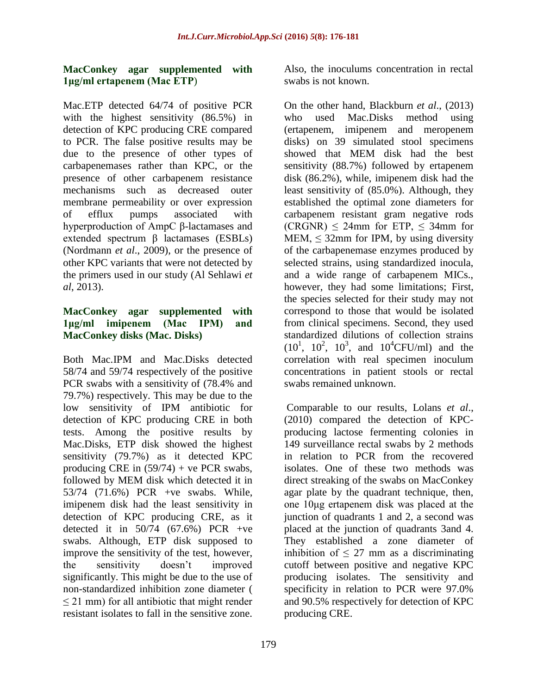## **MacConkey agar supplemented with 1μg/ml ertapenem (Mac ETP**)

Mac.ETP detected 64/74 of positive PCR with the highest sensitivity (86.5%) in detection of KPC producing CRE compared to PCR. The false positive results may be due to the presence of other types of carbapenemases rather than KPC, or the presence of other carbapenem resistance mechanisms such as decreased outer membrane permeability or over expression of efflux pumps associated with hyperproduction of AmpC β-lactamases and extended spectrum β lactamases (ESBLs) (Nordmann *et al*., 2009), or the presence of other KPC variants that were not detected by the primers used in our study (Al Sehlawi *et al*, 2013).

## **MacConkey agar supplemented with 1μg/ml imipenem (Mac IPM) and MacConkey disks (Mac. Disks)**

Both Mac.IPM and Mac.Disks detected 58/74 and 59/74 respectively of the positive PCR swabs with a sensitivity of (78.4% and 79.7%) respectively. This may be due to the low sensitivity of IPM antibiotic for detection of KPC producing CRE in both tests. Among the positive results by Mac.Disks, ETP disk showed the highest sensitivity (79.7%) as it detected KPC producing CRE in  $(59/74)$  + ve PCR swabs, followed by MEM disk which detected it in 53/74 (71.6%) PCR +ve swabs. While, imipenem disk had the least sensitivity in detection of KPC producing CRE, as it detected it in  $50/74$  (67.6%) PCR +ve swabs. Although, ETP disk supposed to improve the sensitivity of the test, however, the sensitivity doesn't improved significantly. This might be due to the use of non-standardized inhibition zone diameter (  $\leq$  21 mm) for all antibiotic that might render resistant isolates to fall in the sensitive zone.

Also, the inoculums concentration in rectal swabs is not known.

On the other hand, Blackburn *et al*., (2013) who used Mac.Disks method using (ertapenem, imipenem and meropenem disks) on 39 simulated stool specimens showed that MEM disk had the best sensitivity (88.7%) followed by ertapenem disk (86.2%), while, imipenem disk had the least sensitivity of (85.0%). Although, they established the optimal zone diameters for carbapenem resistant gram negative rods  $(CRGNR) \leq 24mm$  for ETP,  $\leq 34mm$  for MEM,  $\leq$  32mm for IPM, by using diversity of the carbapenemase enzymes produced by selected strains, using standardized inocula, and a wide range of carbapenem MICs., however, they had some limitations; First, the species selected for their study may not correspond to those that would be isolated from clinical specimens. Second, they used standardized dilutions of collection strains  $(10^1, 10^2, 10^3, \text{ and } 10^4 \text{CFU/ml})$  and the correlation with real specimen inoculum concentrations in patient stools or rectal swabs remained unknown.

Comparable to our results, Lolans *et al*., (2010) compared the detection of KPCproducing lactose fermenting colonies in 149 surveillance rectal swabs by 2 methods in relation to PCR from the recovered isolates. One of these two methods was direct streaking of the swabs on MacConkey agar plate by the quadrant technique, then, one 10μg ertapenem disk was placed at the junction of quadrants 1 and 2, a second was placed at the junction of quadrants 3and 4. They established a zone diameter of inhibition of  $\leq$  27 mm as a discriminating cutoff between positive and negative KPC producing isolates. The sensitivity and specificity in relation to PCR were 97.0% and 90.5% respectively for detection of KPC producing CRE.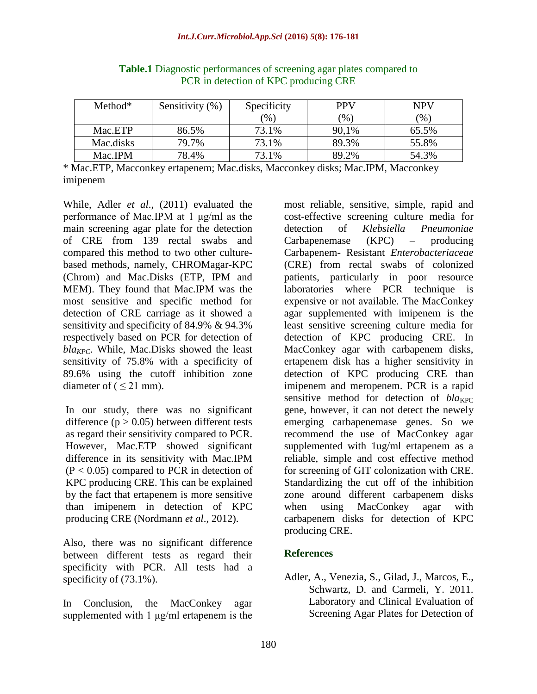| $Method*$ | Sensitivity (%) | Specificity | <b>PPV</b> | <b>NPV</b> |
|-----------|-----------------|-------------|------------|------------|
|           |                 | (96)        | $(\% )$    | $(\% )$    |
| Mac.ETP   | 86.5%           | 73.1%       | 90,1%      | 65.5%      |
| Mac.disks | 79.7%           | 73.1%       | 89.3%      | 55.8%      |
| Mac.IPM   | 78.4%           | 73.1%       | 89.2%      | 54.3%      |

**Table.1** Diagnostic performances of screening agar plates compared to PCR in detection of KPC producing CRE

\* Mac.ETP, Macconkey ertapenem; Mac.disks, Macconkey disks; Mac.IPM, Macconkey imipenem

While, Adler *et al*., (2011) evaluated the performance of Mac.IPM at 1 μg/ml as the main screening agar plate for the detection of CRE from 139 rectal swabs and compared this method to two other culturebased methods, namely, CHROMagar-KPC (Chrom) and Mac.Disks (ETP, IPM and MEM). They found that Mac.IPM was the most sensitive and specific method for detection of CRE carriage as it showed a sensitivity and specificity of 84.9% & 94.3% respectively based on PCR for detection of *blaKPC*. While, Mac.Disks showed the least sensitivity of 75.8% with a specificity of 89.6% using the cutoff inhibition zone diameter of  $( \leq 21$  mm).

In our study, there was no significant difference  $(p > 0.05)$  between different tests as regard their sensitivity compared to PCR. However, Mac.ETP showed significant difference in its sensitivity with Mac.IPM  $(P < 0.05)$  compared to PCR in detection of KPC producing CRE. This can be explained by the fact that ertapenem is more sensitive than imipenem in detection of KPC producing CRE (Nordmann *et al*., 2012).

Also, there was no significant difference between different tests as regard their specificity with PCR. All tests had a specificity of  $(73.1\%)$ .

In Conclusion, the MacConkey agar supplemented with 1 μg/ml ertapenem is the

most reliable, sensitive, simple, rapid and cost-effective screening culture media for detection of *Klebsiella Pneumoniae*  Carbapenemase (KPC) – producing Carbapenem- Resistant *Enterobacteriaceae* (CRE) from rectal swabs of colonized patients, particularly in poor resource laboratories where PCR technique is expensive or not available. The MacConkey agar supplemented with imipenem is the least sensitive screening culture media for detection of KPC producing CRE. In MacConkey agar with carbapenem disks, ertapenem disk has a higher sensitivity in detection of KPC producing CRE than imipenem and meropenem. PCR is a rapid sensitive method for detection of  $bla_{KPC}$ gene, however, it can not detect the newely emerging carbapenemase genes. So we recommend the use of MacConkey agar supplemented with 1ug/ml ertapenem as a reliable, simple and cost effective method for screening of GIT colonization with CRE. Standardizing the cut off of the inhibition zone around different carbapenem disks when using MacConkey agar with carbapenem disks for detection of KPC producing CRE.

# **References**

Adler, A., Venezia, S., Gilad, J., Marcos, E., Schwartz, D. and Carmeli, Y. 2011. Laboratory and Clinical Evaluation of Screening Agar Plates for Detection of